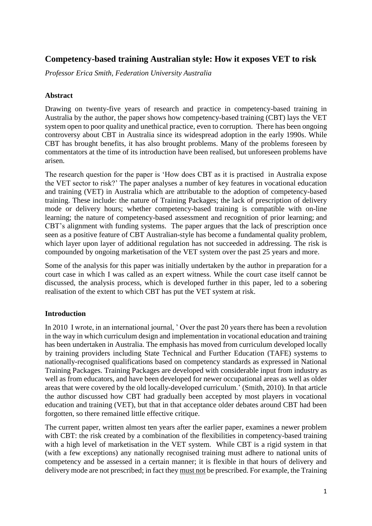# **Competency-based training Australian style: How it exposes VET to risk**

*Professor Erica Smith, Federation University Australia*

### **Abstract**

Drawing on twenty-five years of research and practice in competency-based training in Australia by the author, the paper shows how competency-based training (CBT) lays the VET system open to poor quality and unethical practice, even to corruption. There has been ongoing controversy about CBT in Australia since its widespread adoption in the early 1990s. While CBT has brought benefits, it has also brought problems. Many of the problems foreseen by commentators at the time of its introduction have been realised, but unforeseen problems have arisen.

The research question for the paper is 'How does CBT as it is practised in Australia expose the VET sector to risk?' The paper analyses a number of key features in vocational education and training (VET) in Australia which are attributable to the adoption of competency-based training. These include: the nature of Training Packages; the lack of prescription of delivery mode or delivery hours; whether competency-based training is compatible with on-line learning; the nature of competency-based assessment and recognition of prior learning; and CBT's alignment with funding systems. The paper argues that the lack of prescription once seen as a positive feature of CBT Australian-style has become a fundamental quality problem, which layer upon layer of additional regulation has not succeeded in addressing. The risk is compounded by ongoing marketisation of the VET system over the past 25 years and more.

Some of the analysis for this paper was initially undertaken by the author in preparation for a court case in which I was called as an expert witness. While the court case itself cannot be discussed, the analysis process, which is developed further in this paper, led to a sobering realisation of the extent to which CBT has put the VET system at risk.

## **Introduction**

In 2010 I wrote, in an international journal, ' Over the past 20 years there has been a revolution in the way in which curriculum design and implementation in vocational education and training has been undertaken in Australia. The emphasis has moved from curriculum developed locally by training providers including State Technical and Further Education (TAFE) systems to nationally-recognised qualifications based on competency standards as expressed in National Training Packages. Training Packages are developed with considerable input from industry as well as from educators, and have been developed for newer occupational areas as well as older areas that were covered by the old locally-developed curriculum.' (Smith, 2010). In that article the author discussed how CBT had gradually been accepted by most players in vocational education and training (VET), but that in that acceptance older debates around CBT had been forgotten, so there remained little effective critique.

The current paper, written almost ten years after the earlier paper, examines a newer problem with CBT: the risk created by a combination of the flexibilities in competency-based training with a high level of marketisation in the VET system. While CBT is a rigid system in that (with a few exceptions) any nationally recognised training must adhere to national units of competency and be assessed in a certain manner; it is flexible in that hours of delivery and delivery mode are not prescribed; in fact they must not be prescribed. For example, the Training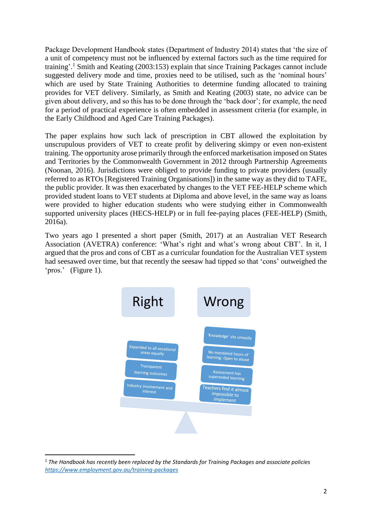Package Development Handbook states (Department of Industry 2014) states that 'the size of a unit of competency must not be influenced by external factors such as the time required for training'.<sup>1</sup> Smith and Keating (2003:153) explain that since Training Packages cannot include suggested delivery mode and time, proxies need to be utilised, such as the 'nominal hours' which are used by State Training Authorities to determine funding allocated to training provides for VET delivery. Similarly, as Smith and Keating (2003) state, no advice can be given about delivery, and so this has to be done through the 'back door'; for example, the need for a period of practical experience is often embedded in assessment criteria (for example, in the Early Childhood and Aged Care Training Packages).

The paper explains how such lack of prescription in CBT allowed the exploitation by unscrupulous providers of VET to create profit by delivering skimpy or even non-existent training. The opportunity arose primarily through the enforced marketisation imposed on States and Territories by the Commonwealth Government in 2012 through Partnership Agreements (Noonan, 2016). Jurisdictions were obliged to provide funding to private providers (usually referred to as RTOs [Registered Training Organisations]) in the same way as they did to TAFE, the public provider. It was then exacerbated by changes to the VET FEE-HELP scheme which provided student loans to VET students at Diploma and above level, in the same way as loans were provided to higher education students who were studying either in Commonwealth supported university places (HECS-HELP) or in full fee-paying places (FEE-HELP) (Smith, 2016a).

Two years ago I presented a short paper (Smith, 2017) at an Australian VET Research Association (AVETRA) conference: 'What's right and what's wrong about CBT'. In it, I argued that the pros and cons of CBT as a curricular foundation for the Australian VET system had seesawed over time, but that recently the seesaw had tipped so that 'cons' outweighed the 'pros.' (Figure 1).



**<sup>.</sup>** <sup>1</sup> *The Handbook has recently been replaced by the Standards for Training Packages and associate policies <https://www.employment.gov.au/training-packages>*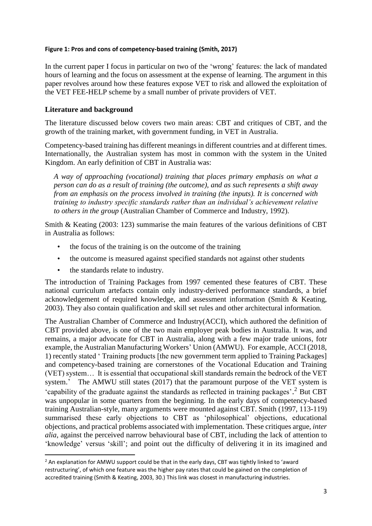#### **Figure 1: Pros and cons of competency-based training (Smith, 2017)**

In the current paper I focus in particular on two of the 'wrong' features: the lack of mandated hours of learning and the focus on assessment at the expense of learning. The argument in this paper revolves around how these features expose VET to risk and allowed the exploitation of the VET FEE-HELP scheme by a small number of private providers of VET.

### **Literature and background**

The literature discussed below covers two main areas: CBT and critiques of CBT, and the growth of the training market, with government funding, in VET in Australia.

Competency-based training has different meanings in different countries and at different times. Internationally, the Australian system has most in common with the system in the United Kingdom. An early definition of CBT in Australia was:

*A way of approaching (vocational) training that places primary emphasis on what a person can do as a result of training (the outcome), and as such represents a shift away from an emphasis on the process involved in training (the inputs). It is concerned with training to industry specific standards rather than an individual's achievement relative to others in the group* (Australian Chamber of Commerce and Industry, 1992).

Smith & Keating (2003: 123) summarise the main features of the various definitions of CBT in Australia as follows:

- the focus of the training is on the outcome of the training
- the outcome is measured against specified standards not against other students
- the standards relate to industry.

**.** 

The introduction of Training Packages from 1997 cemented these features of CBT. These national curriculum artefacts contain only industry-derived performance standards, a brief acknowledgement of required knowledge, and assessment information (Smith & Keating, 2003). They also contain qualification and skill set rules and other architectural information.

The Australian Chamber of Commerce and Industry(ACCI), which authored the definition of CBT provided above, is one of the two main employer peak bodies in Australia. It was, and remains, a major advocate for CBT in Australia, along with a few major trade unions, fotr example, the Australian Manufacturing Workers' Union (AMWU). For example, ACCI (2018, 1) recently stated ' Training products [the new government term applied to Training Packages] and competency-based training are cornerstones of the Vocational Education and Training (VET) system… It is essential that occupational skill standards remain the bedrock of the VET system.' The AMWU still states (2017) that the paramount purpose of the VET system is 'capability of the graduate against the standards as reflected in training packages'.<sup>2</sup> But CBT was unpopular in some quarters from the beginning. In the early days of competency-based training Australian-style, many arguments were mounted against CBT. Smith (1997, 113-119) summarised these early objections to CBT as 'philosophical' objections, educational objections, and practical problems associated with implementation. These critiques argue, *inter alia*, against the perceived narrow behavioural base of CBT, including the lack of attention to 'knowledge' versus 'skill'; and point out the difficulty of delivering it in its imagined and

 $<sup>2</sup>$  An explanation for AMWU support could be that in the early days, CBT was tightly linked to 'award</sup> restructuring', of which one feature was the higher pay rates that could be gained on the completion of accredited training (Smith & Keating, 2003, 30.) This link was closest in manufacturing industries.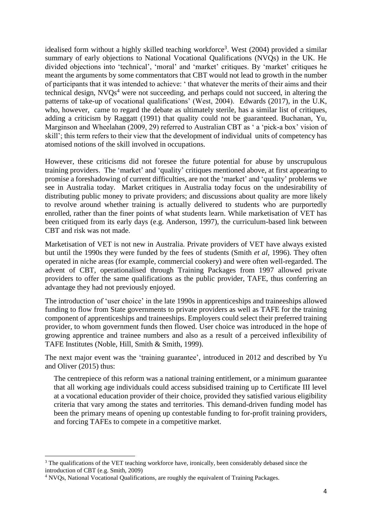idealised form without a highly skilled teaching workforce<sup>3</sup>. West  $(2004)$  provided a similar summary of early objections to National Vocational Qualifications (NVQs) in the UK. He divided objections into 'technical', 'moral' and 'market' critiques. By 'market' critiques he meant the arguments by some commentators that CBT would not lead to growth in the number of participants that it was intended to achieve: ' that whatever the merits of their aims and their technical design,  $NVOs<sup>4</sup>$  were not succeeding, and perhaps could not succeed, in altering the patterns of take-up of vocational qualifications' (West, 2004). Edwards (2017), in the U.K, who, however, came to regard the debate as ultimately sterile, has a similar list of critiques, adding a criticism by Raggatt (1991) that quality could not be guaranteed. Buchanan, Yu, Marginson and Wheelahan (2009, 29) referred to Australian CBT as ' a 'pick-a box' vision of skill'; this term refers to their view that the development of individual units of competency has atomised notions of the skill involved in occupations.

However, these criticisms did not foresee the future potential for abuse by unscrupulous training providers. The 'market' and 'quality' critiques mentioned above, at first appearing to promise a foreshadowing of current difficulties, are not the 'market' and 'quality' problems we see in Australia today. Market critiques in Australia today focus on the undesirability of distributing public money to private providers; and discussions about quality are more likely to revolve around whether training is actually delivered to students who are purportedly enrolled, rather than the finer points of what students learn. While marketisation of VET has been critiqued from its early days (e.g. Anderson, 1997), the curriculum-based link between CBT and risk was not made.

Marketisation of VET is not new in Australia. Private providers of VET have always existed but until the 1990s they were funded by the fees of students (Smith *et al*, 1996). They often operated in niche areas (for example, commercial cookery) and were often well-regarded. The advent of CBT, operationalised through Training Packages from 1997 allowed private providers to offer the same qualifications as the public provider, TAFE, thus conferring an advantage they had not previously enjoyed.

The introduction of 'user choice' in the late 1990s in apprenticeships and traineeships allowed funding to flow from State governments to private providers as well as TAFE for the training component of apprenticeships and traineeships. Employers could select their preferred training provider, to whom government funds then flowed. User choice was introduced in the hope of growing apprentice and trainee numbers and also as a result of a perceived inflexibility of TAFE Institutes (Noble, Hill, Smith & Smith, 1999).

The next major event was the 'training guarantee', introduced in 2012 and described by Yu and Oliver (2015) thus:

The centrepiece of this reform was a national training entitlement, or a minimum guarantee that all working age individuals could access subsidised training up to Certificate III level at a vocational education provider of their choice, provided they satisfied various eligibility criteria that vary among the states and territories. This demand-driven funding model has been the primary means of opening up contestable funding to for-profit training providers, and forcing TAFEs to compete in a competitive market.

 $\overline{a}$ 

<sup>&</sup>lt;sup>3</sup> The qualifications of the VET teaching workforce have, ironically, been considerably debased since the introduction of CBT (e.g. Smith, 2009)

<sup>4</sup> NVQs, National Vocational Qualifications, are roughly the equivalent of Training Packages.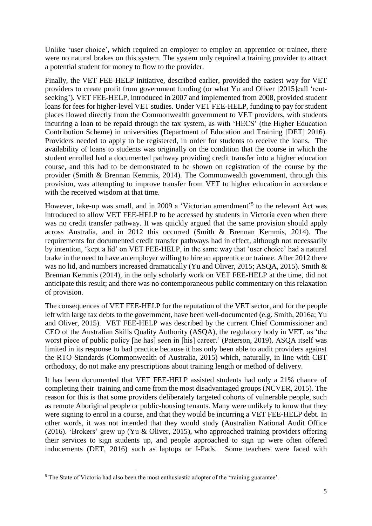Unlike 'user choice', which required an employer to employ an apprentice or trainee, there were no natural brakes on this system. The system only required a training provider to attract a potential student for money to flow to the provider.

Finally, the VET FEE-HELP initiative, described earlier, provided the easiest way for VET providers to create profit from government funding (or what Yu and Oliver [2015]call 'rentseeking'). VET FEE-HELP, introduced in 2007 and implemented from 2008, provided student loans for fees for higher-level VET studies. Under VET FEE-HELP, funding to pay for student places flowed directly from the Commonwealth government to VET providers, with students incurring a loan to be repaid through the tax system, as with 'HECS' (the Higher Education Contribution Scheme) in universities (Department of Education and Training [DET] 2016). Providers needed to apply to be registered, in order for students to receive the loans. The availability of loans to students was originally on the condition that the course in which the student enrolled had a documented pathway providing credit transfer into a higher education course, and this had to be demonstrated to be shown on registration of the course by the provider (Smith & Brennan Kemmis, 2014). The Commonwealth government, through this provision, was attempting to improve transfer from VET to higher education in accordance with the received wisdom at that time.

However, take-up was small, and in 2009 a 'Victorian amendment'<sup>5</sup> to the relevant Act was introduced to allow VET FEE-HELP to be accessed by students in Victoria even when there was no credit transfer pathway. It was quickly argued that the same provision should apply across Australia, and in 2012 this occurred (Smith & Brennan Kemmis, 2014). The requirements for documented credit transfer pathways had in effect, although not necessarily by intention, 'kept a lid' on VET FEE-HELP, in the same way that 'user choice' had a natural brake in the need to have an employer willing to hire an apprentice or trainee. After 2012 there was no lid, and numbers increased dramatically (Yu and Oliver, 2015; ASQA, 2015). Smith & Brennan Kemmis (2014), in the only scholarly work on VET FEE-HELP at the time, did not anticipate this result; and there was no contemporaneous public commentary on this relaxation of provision.

The consequences of VET FEE-HELP for the reputation of the VET sector, and for the people left with large tax debts to the government, have been well-documented (e.g. Smith, 2016a; Yu and Oliver, 2015). VET FEE-HELP was described by the current Chief Commissioner and CEO of the Australian Skills Quality Authority (ASQA), the regulatory body in VET, as 'the worst piece of public policy [he has] seen in [his] career.' (Paterson, 2019). ASQA itself was limited in its response to bad practice because it has only been able to audit providers against the RTO Standards (Commonwealth of Australia, 2015) which, naturally, in line with CBT orthodoxy, do not make any prescriptions about training length or method of delivery.

It has been documented that VET FEE-HELP assisted students had only a 21% chance of completing their training and came from the most disadvantaged groups (NCVER, 2015). The reason for this is that some providers deliberately targeted cohorts of vulnerable people, such as remote Aboriginal people or public-housing tenants. Many were unlikely to know that they were signing to enrol in a course, and that they would be incurring a VET FEE-HELP debt. In other words, it was not intended that they would study (Australian National Audit Office (2016). 'Brokers' grew up (Yu & Oliver, 2015), who approached training providers offering their services to sign students up, and people approached to sign up were often offered inducements (DET, 2016) such as laptops or I-Pads. Some teachers were faced with

**.** 

<sup>&</sup>lt;sup>5</sup> The State of Victoria had also been the most enthusiastic adopter of the 'training guarantee'.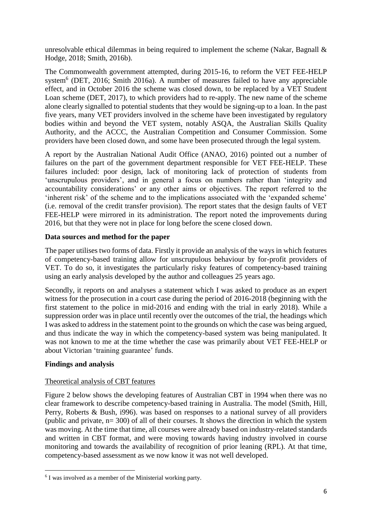unresolvable ethical dilemmas in being required to implement the scheme (Nakar, Bagnall & Hodge, 2018; Smith, 2016b).

The Commonwealth government attempted, during 2015-16, to reform the VET FEE-HELP system<sup>6</sup> (DET, 2016; Smith 2016a). A number of measures failed to have any appreciable effect, and in October 2016 the scheme was closed down, to be replaced by a VET Student Loan scheme (DET, 2017), to which providers had to re-apply. The new name of the scheme alone clearly signalled to potential students that they would be signing-up to a loan. In the past five years, many VET providers involved in the scheme have been investigated by regulatory bodies within and beyond the VET system, notably ASQA, the Australian Skills Quality Authority, and the ACCC, the Australian Competition and Consumer Commission. Some providers have been closed down, and some have been prosecuted through the legal system.

A report by the Australian National Audit Office (ANAO, 2016) pointed out a number of failures on the part of the government department responsible for VET FEE-HELP. These failures included: poor design, lack of monitoring lack of protection of students from 'unscrupulous providers', and in general a focus on numbers rather than 'integrity and accountability considerations' or any other aims or objectives. The report referred to the 'inherent risk' of the scheme and to the implications associated with the 'expanded scheme' (i.e. removal of the credit transfer provision). The report states that the design faults of VET FEE-HELP were mirrored in its administration. The report noted the improvements during 2016, but that they were not in place for long before the scene closed down.

## **Data sources and method for the paper**

The paper utilises two forms of data. Firstly it provide an analysis of the ways in which features of competency-based training allow for unscrupulous behaviour by for-profit providers of VET. To do so, it investigates the particularly risky features of competency-based training using an early analysis developed by the author and colleagues 25 years ago.

Secondly, it reports on and analyses a statement which I was asked to produce as an expert witness for the prosecution in a court case during the period of 2016-2018 (beginning with the first statement to the police in mid-2016 and ending with the trial in early 2018). While a suppression order was in place until recently over the outcomes of the trial, the headings which I was asked to address in the statement point to the grounds on which the case was being argued, and thus indicate the way in which the competency-based system was being manipulated. It was not known to me at the time whether the case was primarily about VET FEE-HELP or about Victorian 'training guarantee' funds.

## **Findings and analysis**

**.** 

#### Theoretical analysis of CBT features

Figure 2 below shows the developing features of Australian CBT in 1994 when there was no clear framework to describe competency-based training in Australia. The model (Smith, Hill, Perry, Roberts & Bush, i996). was based on responses to a national survey of all providers (public and private,  $n= 300$ ) of all of their courses. It shows the direction in which the system was moving. At the time that time, all courses were already based on industry-related standards and written in CBT format, and were moving towards having industry involved in course monitoring and towards the availability of recognition of prior leaning (RPL). At that time, competency-based assessment as we now know it was not well developed.

<sup>&</sup>lt;sup>6</sup> I was involved as a member of the Ministerial working party.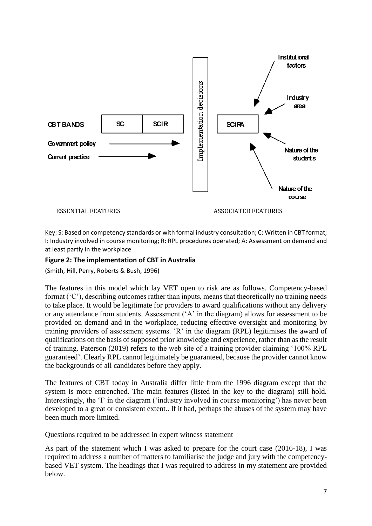

Key: S: Based on competency standards or with formal industry consultation; C: Written in CBT format; I: Industry involved in course monitoring; R: RPL procedures operated; A: Assessment on demand and at least partly in the workplace

### **Figure 2: The implementation of CBT in Australia**

(Smith, Hill, Perry, Roberts & Bush, 1996)

The features in this model which lay VET open to risk are as follows. Competency-based format ('C'), describing outcomes rather than inputs, means that theoretically no training needs to take place. It would be legitimate for providers to award qualifications without any delivery or any attendance from students. Assessment ('A' in the diagram) allows for assessment to be provided on demand and in the workplace, reducing effective oversight and monitoring by training providers of assessment systems. 'R' in the diagram (RPL) legitimises the award of qualifications on the basis of supposed prior knowledge and experience, rather than as the result of training. Paterson (2019) refers to the web site of a training provider claiming '100% RPL guaranteed'. Clearly RPL cannot legitimately be guaranteed, because the provider cannot know the backgrounds of all candidates before they apply.

The features of CBT today in Australia differ little from the 1996 diagram except that the system is more entrenched. The main features (listed in the key to the diagram) still hold. Interestingly, the 'I' in the diagram ('industry involved in course monitoring') has never been developed to a great or consistent extent.. If it had, perhaps the abuses of the system may have been much more limited.

#### Questions required to be addressed in expert witness statement

As part of the statement which I was asked to prepare for the court case (2016-18), I was required to address a number of matters to familiarise the judge and jury with the competencybased VET system. The headings that I was required to address in my statement are provided below.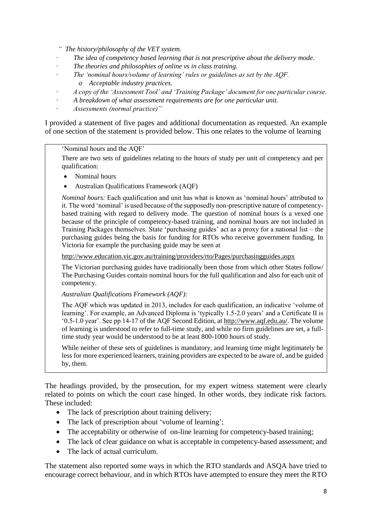*" The history/philosophy of the VET system.*

- *· The idea of competency based learning that is not prescriptive about the delivery mode.*
- *· The theories and philosophies of online vs in class training.*
- *· The 'nominal hours/volume of learning' rules or guidelines as set by the AQF.*
	- *o Acceptable industry practices.*
- *· A copy of the 'Assessment Tool' and 'Training Package' document for one particular course.*
- *· A breakdown of what assessment requirements are for one particular unit.*
- *· Assessments (normal practice)"*

I provided a statement of five pages and additional documentation as requested. An example of one section of the statement is provided below. This one relates to the volume of learning

'Nominal hours and the AQF'

There are two sets of guidelines relating to the hours of study per unit of competency and per qualification:

- Nominal hours
- Australian Qualifications Framework (AQF)

*Nominal hours:* Each qualification and unit has what is known as 'nominal hours' attributed to it. The word 'nominal' is used because of the supposedly non-prescriptive nature of competencybased training with regard to delivery mode. The question of nominal hours is a vexed one because of the principle of competency-based training, and nominal hours are not included in Training Packages themselves. State 'purchasing guides' act as a proxy for a national list – the purchasing guides being the basis for funding for RTOs who receive government funding. In Victoria for example the purchasing guide may be seen at

<http://www.education.vic.gov.au/training/providers/rto/Pages/purchasingguides.aspx>

The Victorian purchasing guides have traditionally been those from which other States follow/ The Purchasing Guides contain nominal hours for the full qualification and also for each unit of competency.

*Australian Qualifications Framework (AQF):* 

The AQF which was updated in 2013, includes for each qualification, an indicative 'volume of learning'. For example, an Advanced Diploma is 'typically 1.5-2.0 years' and a Certificate II is '0.5-1.0 year'. See pp 14-17 of the AQF Second Edition, at [http://www.aqf.edu.au/.](http://www.aqf.edu.au/) The volume of learning is understood to refer to full-time study, and while no firm guidelines are set, a fulltime study year would be understood to be at least 800-1000 hours of study.

While neither of these sets of guidelines is mandatory, and learning time might legitimately be less for more experienced learners, training providers are expected to be aware of, and be guided by, them.

The headings provided, by the prosecution, for my expert witness statement were clearly related to points on which the court case hinged. In other words, they indicate risk factors. These included:

- The lack of prescription about training delivery;
- The lack of prescription about 'volume of learning':
- The acceptability or otherwise of on-line learning for competency-based training;
- The lack of clear guidance on what is acceptable in competency-based assessment; and
- The lack of actual curriculum.

The statement also reported some ways in which the RTO standards and ASQA have tried to encourage correct behaviour, and in which RTOs have attempted to ensure they meet the RTO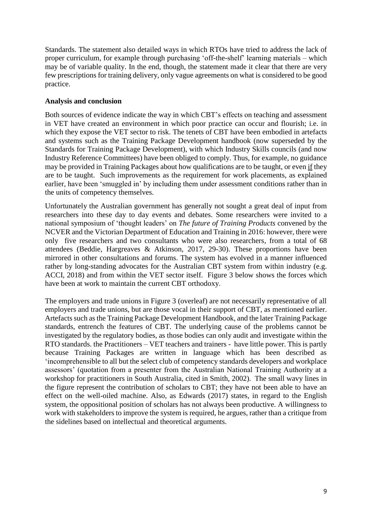Standards. The statement also detailed ways in which RTOs have tried to address the lack of proper curriculum, for example through purchasing 'off-the-shelf' learning materials – which may be of variable quality. In the end, though, the statement made it clear that there are very few prescriptions for training delivery, only vague agreements on what is considered to be good practice.

### **Analysis and conclusion**

Both sources of evidence indicate the way in which CBT's effects on teaching and assessment in VET have created an environment in which poor practice can occur and flourish; i.e. in which they expose the VET sector to risk. The tenets of CBT have been embodied in artefacts and systems such as the Training Package Development handbook (now superseded by the Standards for Training Package Development), with which Industry Skills councils (and now Industry Reference Committees) have been obliged to comply. Thus, for example, no guidance may be provided in Training Packages about how qualifications are to be taught, or even if they are to be taught. Such improvements as the requirement for work placements, as explained earlier, have been 'smuggled in' by including them under assessment conditions rather than in the units of competency themselves.

Unfortunately the Australian government has generally not sought a great deal of input from researchers into these day to day events and debates. Some researchers were invited to a national symposium of 'thought leaders' on *The future of Training Products* convened by the NCVER and the Victorian Department of Education and Training in 2016: however, there were only five researchers and two consultants who were also researchers, from a total of 68 attendees (Beddie, Hargreaves & Atkinson, 2017, 29-30). These proportions have been mirrored in other consultations and forums. The system has evolved in a manner influenced rather by long-standing advocates for the Australian CBT system from within industry (e.g. ACCI, 2018) and from within the VET sector itself. Figure 3 below shows the forces which have been at work to maintain the current CBT orthodoxy.

The employers and trade unions in Figure 3 (overleaf) are not necessarily representative of all employers and trade unions, but are those vocal in their support of CBT, as mentioned earlier. Artefacts such as the Training Package Development Handbook, and the later Training Package standards, entrench the features of CBT. The underlying cause of the problems cannot be investigated by the regulatory bodies, as those bodies can only audit and investigate within the RTO standards. the Practitioners – VET teachers and trainers - have little power. This is partly because Training Packages are written in language which has been described as 'incomprehensible to all but the select club of competency standards developers and workplace assessors' (quotation from a presenter from the Australian National Training Authority at a workshop for practitioners in South Australia, cited in Smith, 2002). The small wavy lines in the figure represent the contribution of scholars to CBT; they have not been able to have an effect on the well-oiled machine. Also, as Edwards (2017) states, in regard to the English system, the oppositional position of scholars has not always been productive. A willingness to work with stakeholders to improve the system is required, he argues, rather than a critique from the sidelines based on intellectual and theoretical arguments.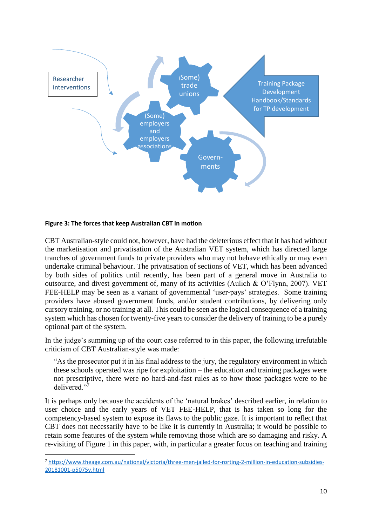

#### **Figure 3: The forces that keep Australian CBT in motion**

**.** 

CBT Australian-style could not, however, have had the deleterious effect that it has had without the marketisation and privatisation of the Australian VET system, which has directed large tranches of government funds to private providers who may not behave ethically or may even undertake criminal behaviour. The privatisation of sections of VET, which has been advanced by both sides of politics until recently, has been part of a general move in Australia to outsource, and divest government of, many of its activities (Aulich & O'Flynn, 2007). VET FEE-HELP may be seen as a variant of governmental 'user-pays' strategies. Some training providers have abused government funds, and/or student contributions, by delivering only cursory training, or no training at all. This could be seen as the logical consequence of a training system which has chosen for twenty-five years to consider the delivery of training to be a purely optional part of the system.

In the judge's summing up of the court case referred to in this paper, the following irrefutable criticism of CBT Australian-style was made:

"As the prosecutor put it in his final address to the jury, the regulatory environment in which these schools operated was ripe for exploitation – the education and training packages were not prescriptive, there were no hard-and-fast rules as to how those packages were to be delivered."<sup>7</sup>

It is perhaps only because the accidents of the 'natural brakes' described earlier, in relation to user choice and the early years of VET FEE-HELP, that is has taken so long for the competency-based system to expose its flaws to the public gaze. It is important to reflect that CBT does not necessarily have to be like it is currently in Australia; it would be possible to retain some features of the system while removing those which are so damaging and risky. A re-visiting of Figure 1 in this paper, with, in particular a greater focus on teaching and training

<sup>7</sup> [https://www.theage.com.au/national/victoria/three-men-jailed-for-rorting-2-million-in-education-subsidies-](https://www.theage.com.au/national/victoria/three-men-jailed-for-rorting-2-million-in-education-subsidies-20181001-p5075y.html)[20181001-p5075y.html](https://www.theage.com.au/national/victoria/three-men-jailed-for-rorting-2-million-in-education-subsidies-20181001-p5075y.html)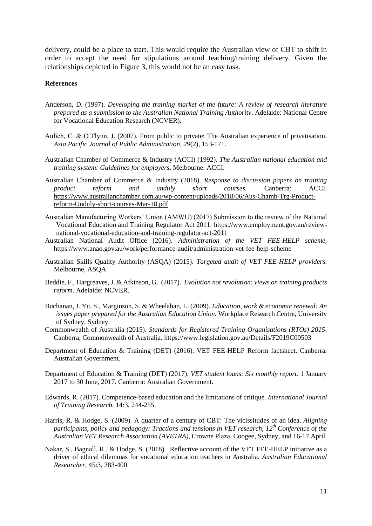delivery, could be a place to start. This would require the Australian view of CBT to shift in order to accept the need for stipulations around teaching/training delivery. Given the relationships depicted in Figure 3, this would not be an easy task.

#### **References**

- Anderson, D. (1997). *Developing the training market of the future: A review of research literature prepared as a submission to the Australian National Training Authority*. Adelaide: National Centre for Vocational Education Research (NCVER).
- Aulich, C. & O'Flynn, J. (2007). From public to private: The Australian experience of privatisation. *Asia Pacific Journal of Public Administration, 29*(2), 153-171.
- Australian Chamber of Commerce & Industry (ACCI) (1992). *The Australian national education and training system: Guidelines for employers*. Melbourne: ACCI.
- Australian Chamber of Commerce & Industry (2018). *Response to discussion papers on training product reform and unduly short courses.* Canberra: ACCI. [https://www.australianchamber.com.au/wp-content/uploads/2018/06/Aus-Chamb-Trg-Product](https://www.australianchamber.com.au/wp-content/uploads/2018/06/Aus-Chamb-Trg-Product-reform-Unduly-short-courses-Mar-18.pdf)[reform-Unduly-short-courses-Mar-18.pdf](https://www.australianchamber.com.au/wp-content/uploads/2018/06/Aus-Chamb-Trg-Product-reform-Unduly-short-courses-Mar-18.pdf)
- Australian Manufacturing Workers' Union (AMWU) (2017) Submission to the review of the National Vocational Education and Training Regulator Act 2011. [https://www.employment.gov.au/review](https://www.employment.gov.au/review-national-vocational-education-and-training-regulator-act-2011)[national-vocational-education-and-training-regulator-act-2011](https://www.employment.gov.au/review-national-vocational-education-and-training-regulator-act-2011)
- Australian National Audit Office (2016). *Administration of the VET FEE-HELP scheme,* <https://www.anao.gov.au/work/performance-audit/administration-vet-fee-help-scheme>
- Australian Skills Quality Authority (ASQA) (2015). *Targeted audit of VET FEE-HELP providers.* Melbourne, ASQA.
- Beddie, F., Hargreaves, J. & Atkinson, G. (2017). *Evolution not revolution: views on training products reform.* Adelaide: NCVER.
- Buchanan, J. Yu, S., Marginson, S. & Wheelahan, L. (2009). *Education, work & economic renewal: An issues paper prepared for the Australian Education Union.* Workplace Research Centre, University of Sydney, Sydney.
- Commonwealth of Australia (2015). *Standards for Registered Training Organisations (RTOs) 2015*. Canberra, Commonwealth of Australia.<https://www.legislation.gov.au/Details/F2019C00503>
- Department of Education & Training (DET) (2016). VET FEE-HELP Reform factsheet. Canberra: Australian Government.
- Department of Education & Training (DET) (2017). *VET student loans: Six monthly report*. 1 January 2017 to 30 June, 2017. Canberra: Australian Government.
- Edwards, R. (2017). Competence-based education and the limitations of critique. *International Journal of Training Research.* 14:3, 244-255.
- Harris, R. & Hodge, S. (2009). A quarter of a century of CBT: The vicissitudes of an idea. *Aligning participants, policy and pedagogy: Tractions and tensions in VET research, 12th Conference of the Australian VET Research Association (AVETRA),* Crowne Plaza, Coogee, Sydney, and 16-17 April.
- Nakar, S., Bagnall, R., & Hodge, S. (2018). Reflective account of the VET FEE-HELP initiative as a driver of ethical dilemmas for vocational education teachers in Australia. *Australian Educational Researcher*, 45:3, 383-400.